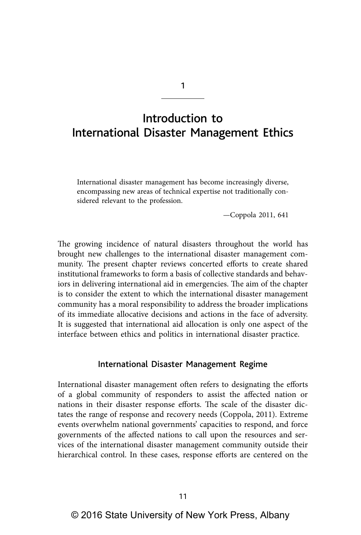## Introduction to International Disaster Management Ethics

1

International disaster management has become increasingly diverse, encompassing new areas of technical expertise not traditionally considered relevant to the profession.

—Coppola 2011, 641

The growing incidence of natural disasters throughout the world has brought new challenges to the international disaster management community. The present chapter reviews concerted efforts to create shared institutional frameworks to form a basis of collective standards and behaviors in delivering international aid in emergencies. The aim of the chapter is to consider the extent to which the international disaster management community has a moral responsibility to address the broader implications of its immediate allocative decisions and actions in the face of adversity. It is suggested that international aid allocation is only one aspect of the interface between ethics and politics in international disaster practice.

## International Disaster Management Regime

International disaster management often refers to designating the efforts of a global community of responders to assist the affected nation or nations in their disaster response efforts. The scale of the disaster dictates the range of response and recovery needs (Coppola, 2011). Extreme events overwhelm national governments' capacities to respond, and force governments of the affected nations to call upon the resources and services of the international disaster management community outside their hierarchical control. In these cases, response efforts are centered on the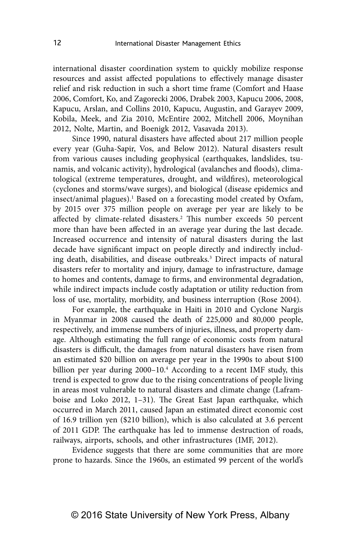international disaster coordination system to quickly mobilize response resources and assist affected populations to effectively manage disaster relief and risk reduction in such a short time frame (Comfort and Haase 2006, Comfort, Ko, and Zagorecki 2006, Drabek 2003, Kapucu 2006, 2008, Kapucu, Arslan, and Collins 2010, Kapucu, Augustin, and Garayev 2009, Kobila, Meek, and Zia 2010, McEntire 2002, Mitchell 2006, Moynihan 2012, Nolte, Martin, and Boenigk 2012, Vasavada 2013).

Since 1990, natural disasters have affected about 217 million people every year (Guha-Sapir, Vos, and Below 2012). Natural disasters result from various causes including geophysical (earthquakes, landslides, tsunamis, and volcanic activity), hydrological (avalanches and floods), climatological (extreme temperatures, drought, and wildfires), meteorological (cyclones and storms/wave surges), and biological (disease epidemics and insect/animal plagues).<sup>1</sup> Based on a forecasting model created by Oxfam, by 2015 over 375 million people on average per year are likely to be affected by climate-related disasters.<sup>2</sup> This number exceeds 50 percent more than have been affected in an average year during the last decade. Increased occurrence and intensity of natural disasters during the last decade have significant impact on people directly and indirectly including death, disabilities, and disease outbreaks.<sup>3</sup> Direct impacts of natural disasters refer to mortality and injury, damage to infrastructure, damage to homes and contents, damage to firms, and environmental degradation, while indirect impacts include costly adaptation or utility reduction from loss of use, mortality, morbidity, and business interruption (Rose 2004).

For example, the earthquake in Haiti in 2010 and Cyclone Nargis in Myanmar in 2008 caused the death of 225,000 and 80,000 people, respectively, and immense numbers of injuries, illness, and property damage. Although estimating the full range of economic costs from natural disasters is difficult, the damages from natural disasters have risen from an estimated \$20 billion on average per year in the 1990s to about \$100 billion per year during 2000-10.<sup>4</sup> According to a recent IMF study, this trend is expected to grow due to the rising concentrations of people living in areas most vulnerable to natural disasters and climate change (Laframboise and Loko 2012, 1–31). The Great East Japan earthquake, which occurred in March 2011, caused Japan an estimated direct economic cost of 16.9 trillion yen (\$210 billion), which is also calculated at 3.6 percent of 2011 GDP. The earthquake has led to immense destruction of roads, railways, airports, schools, and other infrastructures (IMF, 2012).

Evidence suggests that there are some communities that are more prone to hazards. Since the 1960s, an estimated 99 percent of the world's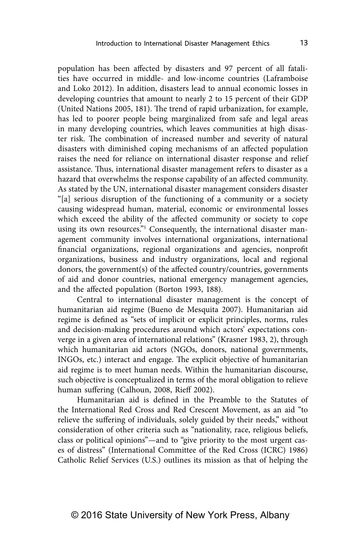population has been affected by disasters and 97 percent of all fatalities have occurred in middle- and low-income countries (Laframboise and Loko 2012). In addition, disasters lead to annual economic losses in developing countries that amount to nearly 2 to 15 percent of their GDP (United Nations 2005, 181). The trend of rapid urbanization, for example, has led to poorer people being marginalized from safe and legal areas in many developing countries, which leaves communities at high disaster risk. The combination of increased number and severity of natural disasters with diminished coping mechanisms of an affected population raises the need for reliance on international disaster response and relief assistance. Thus, international disaster management refers to disaster as a hazard that overwhelms the response capability of an affected community. As stated by the UN, international disaster management considers disaster "[a] serious disruption of the functioning of a community or a society causing widespread human, material, economic or environmental losses which exceed the ability of the affected community or society to cope using its own resources."<sup>5</sup> Consequently, the international disaster management community involves international organizations, international financial organizations, regional organizations and agencies, nonprofit organizations, business and industry organizations, local and regional donors, the government(s) of the affected country/countries, governments of aid and donor countries, national emergency management agencies, and the affected population (Borton 1993, 188).

Central to international disaster management is the concept of humanitarian aid regime (Bueno de Mesquita 2007). Humanitarian aid regime is defined as "sets of implicit or explicit principles, norms, rules and decision-making procedures around which actors' expectations converge in a given area of international relations" (Krasner 1983, 2), through which humanitarian aid actors (NGOs, donors, national governments, INGOs, etc.) interact and engage. The explicit objective of humanitarian aid regime is to meet human needs. Within the humanitarian discourse, such objective is conceptualized in terms of the moral obligation to relieve human suffering (Calhoun, 2008, Rieff 2002).

Humanitarian aid is defined in the Preamble to the Statutes of the International Red Cross and Red Crescent Movement, as an aid "to relieve the suffering of individuals, solely guided by their needs," without consideration of other criteria such as "nationality, race, religious beliefs, class or political opinions"—and to "give priority to the most urgent cases of distress" (International Committee of the Red Cross (ICRC) 1986) Catholic Relief Services (U.S.) outlines its mission as that of helping the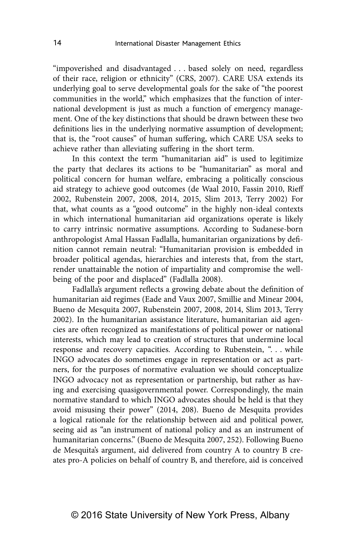"impoverished and disadvantaged . . . based solely on need, regardless of their race, religion or ethnicity" (CRS, 2007). CARE USA extends its underlying goal to serve developmental goals for the sake of "the poorest communities in the world," which emphasizes that the function of international development is just as much a function of emergency management. One of the key distinctions that should be drawn between these two definitions lies in the underlying normative assumption of development; that is, the "root causes" of human suffering, which CARE USA seeks to achieve rather than alleviating suffering in the short term.

In this context the term "humanitarian aid" is used to legitimize the party that declares its actions to be "humanitarian" as moral and political concern for human welfare, embracing a politically conscious aid strategy to achieve good outcomes (de Waal 2010, Fassin 2010, Rieff 2002, Rubenstein 2007, 2008, 2014, 2015, Slim 2013, Terry 2002) For that, what counts as a "good outcome" in the highly non-ideal contexts in which international humanitarian aid organizations operate is likely to carry intrinsic normative assumptions. According to Sudanese-born anthropologist Amal Hassan Fadlalla, humanitarian organizations by definition cannot remain neutral: "Humanitarian provision is embedded in broader political agendas, hierarchies and interests that, from the start, render unattainable the notion of impartiality and compromise the wellbeing of the poor and displaced" (Fadlalla 2008).

Fadlalla's argument reflects a growing debate about the definition of humanitarian aid regimes (Eade and Vaux 2007, Smillie and Minear 2004, Bueno de Mesquita 2007, Rubenstein 2007, 2008, 2014, Slim 2013, Terry 2002). In the humanitarian assistance literature, humanitarian aid agencies are often recognized as manifestations of political power or national interests, which may lead to creation of structures that undermine local response and recovery capacities. According to Rubenstein, "... while INGO advocates do sometimes engage in representation or act as partners, for the purposes of normative evaluation we should conceptualize INGO advocacy not as representation or partnership, but rather as having and exercising quasigovernmental power. Correspondingly, the main normative standard to which INGO advocates should be held is that they avoid misusing their power" (2014, 208). Bueno de Mesquita provides a logical rationale for the relationship between aid and political power, seeing aid as "an instrument of national policy and as an instrument of humanitarian concerns." (Bueno de Mesquita 2007, 252). Following Bueno de Mesquita's argument, aid delivered from country A to country B creates pro-A policies on behalf of country B, and therefore, aid is conceived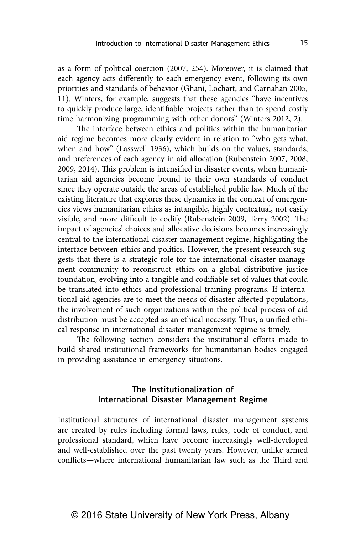as a form of political coercion (2007, 254). Moreover, it is claimed that each agency acts differently to each emergency event, following its own priorities and standards of behavior (Ghani, Lochart, and Carnahan 2005, 11). Winters, for example, suggests that these agencies "have incentives to quickly produce large, identifiable projects rather than to spend costly time harmonizing programming with other donors" (Winters 2012, 2).

The interface between ethics and politics within the humanitarian aid regime becomes more clearly evident in relation to "who gets what, when and how" (Lasswell 1936), which builds on the values, standards, and preferences of each agency in aid allocation (Rubenstein 2007, 2008, 2009, 2014). This problem is intensified in disaster events, when humanitarian aid agencies become bound to their own standards of conduct since they operate outside the areas of established public law. Much of the existing literature that explores these dynamics in the context of emergencies views humanitarian ethics as intangible, highly contextual, not easily visible, and more difficult to codify (Rubenstein 2009, Terry 2002). The impact of agencies' choices and allocative decisions becomes increasingly central to the international disaster management regime, highlighting the interface between ethics and politics. However, the present research suggests that there is a strategic role for the international disaster management community to reconstruct ethics on a global distributive justice foundation, evolving into a tangible and codifiable set of values that could be translated into ethics and professional training programs. If international aid agencies are to meet the needs of disaster-affected populations, the involvement of such organizations within the political process of aid distribution must be accepted as an ethical necessity. Thus, a unified ethical response in international disaster management regime is timely.

The following section considers the institutional efforts made to build shared institutional frameworks for humanitarian bodies engaged in providing assistance in emergency situations.

## The Institutionalization of International Disaster Management Regime

Institutional structures of international disaster management systems are created by rules including formal laws, rules, code of conduct, and professional standard, which have become increasingly well-developed and well-established over the past twenty years. However, unlike armed conflicts—where international humanitarian law such as the Third and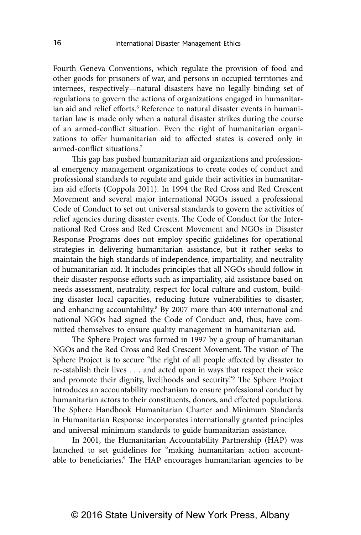Fourth Geneva Conventions, which regulate the provision of food and other goods for prisoners of war, and persons in occupied territories and internees, respectively—natural disasters have no legally binding set of regulations to govern the actions of organizations engaged in humanitarian aid and relief efforts.<sup>6</sup> Reference to natural disaster events in humanitarian law is made only when a natural disaster strikes during the course of an armed-conflict situation. Even the right of humanitarian organizations to offer humanitarian aid to affected states is covered only in armed-conflict situations<sup>7</sup>

This gap has pushed humanitarian aid organizations and professional emergency management organizations to create codes of conduct and professional standards to regulate and guide their activities in humanitarian aid efforts (Coppola 2011). In 1994 the Red Cross and Red Crescent Movement and several major international NGOs issued a professional Code of Conduct to set out universal standards to govern the activities of relief agencies during disaster events. The Code of Conduct for the International Red Cross and Red Crescent Movement and NGOs in Disaster Response Programs does not employ specific guidelines for operational strategies in delivering humanitarian assistance, but it rather seeks to maintain the high standards of independence, impartiality, and neutrality of humanitarian aid. It includes principles that all NGOs should follow in their disaster response efforts such as impartiality, aid assistance based on needs assessment, neutrality, respect for local culture and custom, building disaster local capacities, reducing future vulnerabilities to disaster, and enhancing accountability.<sup>8</sup> By 2007 more than 400 international and national NGOs had signed the Code of Conduct and, thus, have committed themselves to ensure quality management in humanitarian aid.

The Sphere Project was formed in 1997 by a group of humanitarian NGOs and the Red Cross and Red Crescent Movement. The vision of The Sphere Project is to secure "the right of all people affected by disaster to re-establish their lives . . . and acted upon in ways that respect their voice and promote their dignity, livelihoods and security."9 The Sphere Project introduces an accountability mechanism to ensure professional conduct by humanitarian actors to their constituents, donors, and effected populations. The Sphere Handbook Humanitarian Charter and Minimum Standards in Humanitarian Response incorporates internationally granted principles and universal minimum standards to guide humanitarian assistance.

In 2001, the Humanitarian Accountability Partnership (HAP) was launched to set guidelines for "making humanitarian action accountable to beneficiaries." The HAP encourages humanitarian agencies to be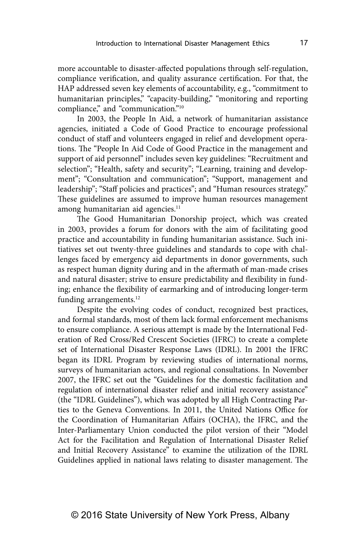more accountable to disaster-affected populations through self-regulation, compliance verification, and quality assurance certification. For that, the HAP addressed seven key elements of accountability, e.g., "commitment to humanitarian principles," "capacity-building," "monitoring and reporting compliance," and "communication."<sup>10</sup>

In 2003, the People In Aid, a network of humanitarian assistance agencies, initiated a Code of Good Practice to encourage professional conduct of staff and volunteers engaged in relief and development operations. The "People In Aid Code of Good Practice in the management and support of aid personnel" includes seven key guidelines: "Recruitment and selection"; "Health, safety and security"; "Learning, training and development"; "Consultation and communication"; "Support, management and leadership"; "Staff policies and practices"; and "Human resources strategy." These guidelines are assumed to improve human resources management among humanitarian aid agencies.<sup>11</sup>

The Good Humanitarian Donorship project, which was created in 2003, provides a forum for donors with the aim of facilitating good practice and accountability in funding humanitarian assistance. Such initiatives set out twenty-three guidelines and standards to cope with challenges faced by emergency aid departments in donor governments, such as respect human dignity during and in the aftermath of man-made crises and natural disaster; strive to ensure predictability and flexibility in funding; enhance the flexibility of earmarking and of introducing longer-term funding arrangements.<sup>12</sup>

Despite the evolving codes of conduct, recognized best practices, and formal standards, most of them lack formal enforcement mechanisms to ensure compliance. A serious attempt is made by the International Federation of Red Cross/Red Crescent Societies (IFRC) to create a complete set of International Disaster Response Laws (IDRL). In 2001 the IFRC began its IDRL Program by reviewing studies of international norms, surveys of humanitarian actors, and regional consultations. In November 2007, the IFRC set out the "Guidelines for the domestic facilitation and regulation of international disaster relief and initial recovery assistance" (the "IDRL Guidelines"), which was adopted by all High Contracting Parties to the Geneva Conventions. In 2011, the United Nations Office for the Coordination of Humanitarian Affairs (OCHA), the IFRC, and the Inter-Parliamentary Union conducted the pilot version of their "Model Act for the Facilitation and Regulation of International Disaster Relief and Initial Recovery Assistance" to examine the utilization of the IDRL Guidelines applied in national laws relating to disaster management. The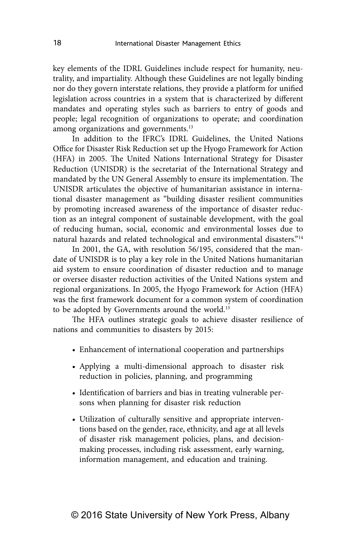key elements of the IDRL Guidelines include respect for humanity, neutrality, and impartiality. Although these Guidelines are not legally binding nor do they govern interstate relations, they provide a platform for unified legislation across countries in a system that is characterized by different mandates and operating styles such as barriers to entry of goods and people; legal recognition of organizations to operate; and coordination among organizations and governments.<sup>13</sup>

In addition to the IFRC's IDRL Guidelines, the United Nations Office for Disaster Risk Reduction set up the Hyogo Framework for Action (HFA) in 2005. The United Nations International Strategy for Disaster Reduction (UNISDR) is the secretariat of the International Strategy and mandated by the UN General Assembly to ensure its implementation. The UNISDR articulates the objective of humanitarian assistance in international disaster management as "building disaster resilient communities by promoting increased awareness of the importance of disaster reduction as an integral component of sustainable development, with the goal of reducing human, social, economic and environmental losses due to natural hazards and related technological and environmental disasters."14

In 2001, the GA, with resolution 56/195, considered that the mandate of UNISDR is to play a key role in the United Nations humanitarian aid system to ensure coordination of disaster reduction and to manage or oversee disaster reduction activities of the United Nations system and regional organizations. In 2005, the Hyogo Framework for Action (HFA) was the first framework document for a common system of coordination to be adopted by Governments around the world.<sup>15</sup>

The HFA outlines strategic goals to achieve disaster resilience of nations and communities to disasters by 2015:

- Enhancement of international cooperation and partnerships
- Applying a multi-dimensional approach to disaster risk reduction in policies, planning, and programming
- Identification of barriers and bias in treating vulnerable persons when planning for disaster risk reduction
- Utilization of culturally sensitive and appropriate interventions based on the gender, race, ethnicity, and age at all levels of disaster risk management policies, plans, and decisionmaking processes, including risk assessment, early warning, information management, and education and training.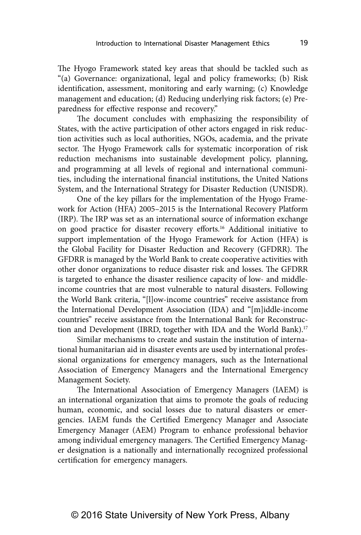The Hyogo Framework stated key areas that should be tackled such as "(a) Governance: organizational, legal and policy frameworks; (b) Risk identification, assessment, monitoring and early warning; (c) Knowledge management and education; (d) Reducing underlying risk factors; (e) Preparedness for effective response and recovery."

The document concludes with emphasizing the responsibility of States, with the active participation of other actors engaged in risk reduction activities such as local authorities, NGOs, academia, and the private sector. The Hyogo Framework calls for systematic incorporation of risk reduction mechanisms into sustainable development policy, planning, and programming at all levels of regional and international communities, including the international financial institutions, the United Nations System, and the International Strategy for Disaster Reduction (UNISDR).

One of the key pillars for the implementation of the Hyogo Framework for Action (HFA) 2005–2015 is the International Recovery Platform (IRP). The IRP was set as an international source of information exchange on good practice for disaster recovery efforts.16 Additional initiative to support implementation of the Hyogo Framework for Action (HFA) is the Global Facility for Disaster Reduction and Recovery (GFDRR). The GFDRR is managed by the World Bank to create cooperative activities with other donor organizations to reduce disaster risk and losses. The GFDRR is targeted to enhance the disaster resilience capacity of low- and middleincome countries that are most vulnerable to natural disasters. Following the World Bank criteria, "[l]ow-income countries" receive assistance from the International Development Association (IDA) and "[m]iddle-income countries" receive assistance from the International Bank for Reconstruction and Development (IBRD, together with IDA and the World Bank).<sup>17</sup>

Similar mechanisms to create and sustain the institution of international humanitarian aid in disaster events are used by international professional organizations for emergency managers, such as the International Association of Emergency Managers and the International Emergency Management Society.

The International Association of Emergency Managers (IAEM) is an international organization that aims to promote the goals of reducing human, economic, and social losses due to natural disasters or emergencies. IAEM funds the Certified Emergency Manager and Associate Emergency Manager (AEM) Program to enhance professional behavior among individual emergency managers. The Certified Emergency Manager designation is a nationally and internationally recognized professional certification for emergency managers.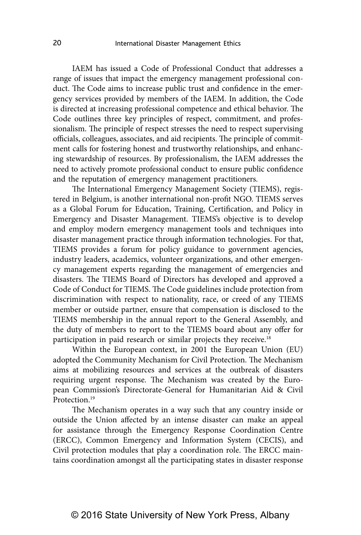IAEM has issued a Code of Professional Conduct that addresses a range of issues that impact the emergency management professional conduct. The Code aims to increase public trust and confidence in the emergency services provided by members of the IAEM. In addition, the Code is directed at increasing professional competence and ethical behavior. The Code outlines three key principles of respect, commitment, and professionalism. The principle of respect stresses the need to respect supervising officials, colleagues, associates, and aid recipients. The principle of commitment calls for fostering honest and trustworthy relationships, and enhancing stewardship of resources. By professionalism, the IAEM addresses the need to actively promote professional conduct to ensure public confidence and the reputation of emergency management practitioners.

The International Emergency Management Society (TIEMS), registered in Belgium, is another international non-profit NGO. TIEMS serves as a Global Forum for Education, Training, Certification, and Policy in Emergency and Disaster Management. TIEMS's objective is to develop and employ modern emergency management tools and techniques into disaster management practice through information technologies. For that, TIEMS provides a forum for policy guidance to government agencies, industry leaders, academics, volunteer organizations, and other emergency management experts regarding the management of emergencies and disasters. The TIEMS Board of Directors has developed and approved a Code of Conduct for TIEMS. The Code guidelines include protection from discrimination with respect to nationality, race, or creed of any TIEMS member or outside partner, ensure that compensation is disclosed to the TIEMS membership in the annual report to the General Assembly, and the duty of members to report to the TIEMS board about any offer for participation in paid research or similar projects they receive.<sup>18</sup>

Within the European context, in 2001 the European Union (EU) adopted the Community Mechanism for Civil Protection. The Mechanism aims at mobilizing resources and services at the outbreak of disasters requiring urgent response. The Mechanism was created by the European Commission's Directorate-General for Humanitarian Aid & Civil Protection.19

The Mechanism operates in a way such that any country inside or outside the Union affected by an intense disaster can make an appeal for assistance through the Emergency Response Coordination Centre (ERCC), Common Emergency and Information System (CECIS), and Civil protection modules that play a coordination role. The ERCC maintains coordination amongst all the participating states in disaster response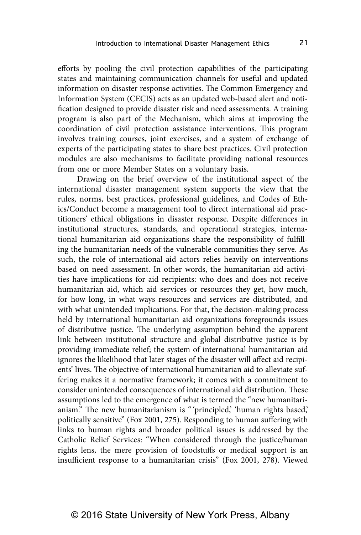efforts by pooling the civil protection capabilities of the participating states and maintaining communication channels for useful and updated information on disaster response activities. The Common Emergency and Information System (CECIS) acts as an updated web-based alert and notification designed to provide disaster risk and need assessments. A training program is also part of the Mechanism, which aims at improving the coordination of civil protection assistance interventions. This program involves training courses, joint exercises, and a system of exchange of experts of the participating states to share best practices. Civil protection modules are also mechanisms to facilitate providing national resources from one or more Member States on a voluntary basis.

Drawing on the brief overview of the institutional aspect of the international disaster management system supports the view that the rules, norms, best practices, professional guidelines, and Codes of Ethics/Conduct become a management tool to direct international aid practitioners' ethical obligations in disaster response. Despite differences in institutional structures, standards, and operational strategies, international humanitarian aid organizations share the responsibility of fulfilling the humanitarian needs of the vulnerable communities they serve. As such, the role of international aid actors relies heavily on interventions based on need assessment. In other words, the humanitarian aid activities have implications for aid recipients: who does and does not receive humanitarian aid, which aid services or resources they get, how much, for how long, in what ways resources and services are distributed, and with what unintended implications. For that, the decision-making process held by international humanitarian aid organizations foregrounds issues of distributive justice. The underlying assumption behind the apparent link between institutional structure and global distributive justice is by providing immediate relief; the system of international humanitarian aid ignores the likelihood that later stages of the disaster will affect aid recipients' lives. The objective of international humanitarian aid to alleviate suffering makes it a normative framework; it comes with a commitment to consider unintended consequences of international aid distribution. These assumptions led to the emergence of what is termed the "new humanitarianism." The new humanitarianism is "'principled,' 'human rights based,' politically sensitive" (Fox 2001, 275). Responding to human suffering with links to human rights and broader political issues is addressed by the Catholic Relief Services: "When considered through the justice/human rights lens, the mere provision of foodstuffs or medical support is an insufficient response to a humanitarian crisis" (Fox 2001, 278). Viewed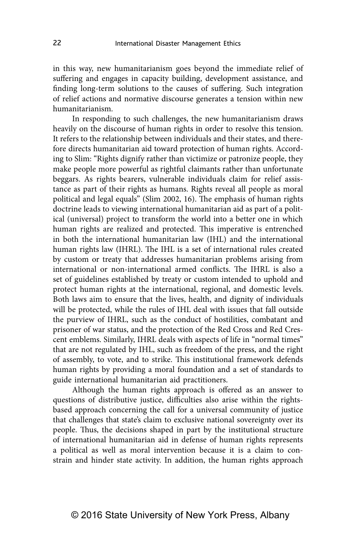in this way, new humanitarianism goes beyond the immediate relief of suffering and engages in capacity building, development assistance, and finding long-term solutions to the causes of suffering. Such integration of relief actions and normative discourse generates a tension within new humanitarianism.

In responding to such challenges, the new humanitarianism draws heavily on the discourse of human rights in order to resolve this tension. It refers to the relationship between individuals and their states, and therefore directs humanitarian aid toward protection of human rights. According to Slim: "Rights dignify rather than victimize or patronize people, they make people more powerful as rightful claimants rather than unfortunate beggars. As rights bearers, vulnerable individuals claim for relief assistance as part of their rights as humans. Rights reveal all people as moral political and legal equals" (Slim 2002, 16). The emphasis of human rights doctrine leads to viewing international humanitarian aid as part of a political (universal) project to transform the world into a better one in which human rights are realized and protected. This imperative is entrenched in both the international humanitarian law (IHL) and the international human rights law (IHRL). The IHL is a set of international rules created by custom or treaty that addresses humanitarian problems arising from international or non-international armed conflicts. The IHRL is also a set of guidelines established by treaty or custom intended to uphold and protect human rights at the international, regional, and domestic levels. Both laws aim to ensure that the lives, health, and dignity of individuals will be protected, while the rules of IHL deal with issues that fall outside the purview of IHRL, such as the conduct of hostilities, combatant and prisoner of war status, and the protection of the Red Cross and Red Crescent emblems. Similarly, IHRL deals with aspects of life in "normal times" that are not regulated by IHL, such as freedom of the press, and the right of assembly, to vote, and to strike. This institutional framework defends human rights by providing a moral foundation and a set of standards to guide international humanitarian aid practitioners.

Although the human rights approach is offered as an answer to questions of distributive justice, difficulties also arise within the rightsbased approach concerning the call for a universal community of justice that challenges that state's claim to exclusive national sovereignty over its people. Thus, the decisions shaped in part by the institutional structure of international humanitarian aid in defense of human rights represents a political as well as moral intervention because it is a claim to constrain and hinder state activity. In addition, the human rights approach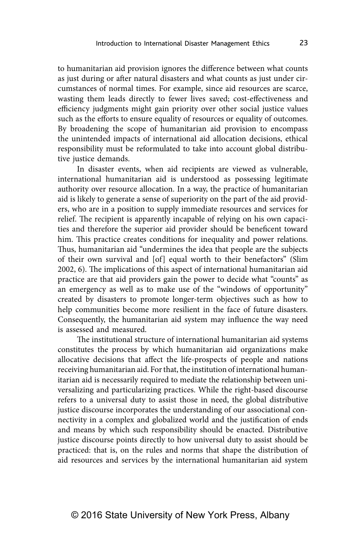to humanitarian aid provision ignores the difference between what counts as just during or after natural disasters and what counts as just under circumstances of normal times. For example, since aid resources are scarce, wasting them leads directly to fewer lives saved; cost-effectiveness and efficiency judgments might gain priority over other social justice values such as the efforts to ensure equality of resources or equality of outcomes. By broadening the scope of humanitarian aid provision to encompass the unintended impacts of international aid allocation decisions, ethical responsibility must be reformulated to take into account global distributive justice demands.

In disaster events, when aid recipients are viewed as vulnerable, international humanitarian aid is understood as possessing legitimate authority over resource allocation. In a way, the practice of humanitarian aid is likely to generate a sense of superiority on the part of the aid providers, who are in a position to supply immediate resources and services for relief. The recipient is apparently incapable of relying on his own capacities and therefore the superior aid provider should be beneficent toward him. This practice creates conditions for inequality and power relations. Thus, humanitarian aid "undermines the idea that people are the subjects of their own survival and [of] equal worth to their benefactors" (Slim 2002, 6). The implications of this aspect of international humanitarian aid practice are that aid providers gain the power to decide what "counts" as an emergency as well as to make use of the "windows of opportunity" created by disasters to promote longer-term objectives such as how to help communities become more resilient in the face of future disasters. Consequently, the humanitarian aid system may influence the way need is assessed and measured.

The institutional structure of international humanitarian aid systems constitutes the process by which humanitarian aid organizations make allocative decisions that affect the life-prospects of people and nations receiving humanitarian aid. For that, the institution of international humanitarian aid is necessarily required to mediate the relationship between universalizing and particularizing practices. While the right-based discourse refers to a universal duty to assist those in need, the global distributive justice discourse incorporates the understanding of our associational connectivity in a complex and globalized world and the justification of ends and means by which such responsibility should be enacted. Distributive justice discourse points directly to how universal duty to assist should be practiced: that is, on the rules and norms that shape the distribution of aid resources and services by the international humanitarian aid system